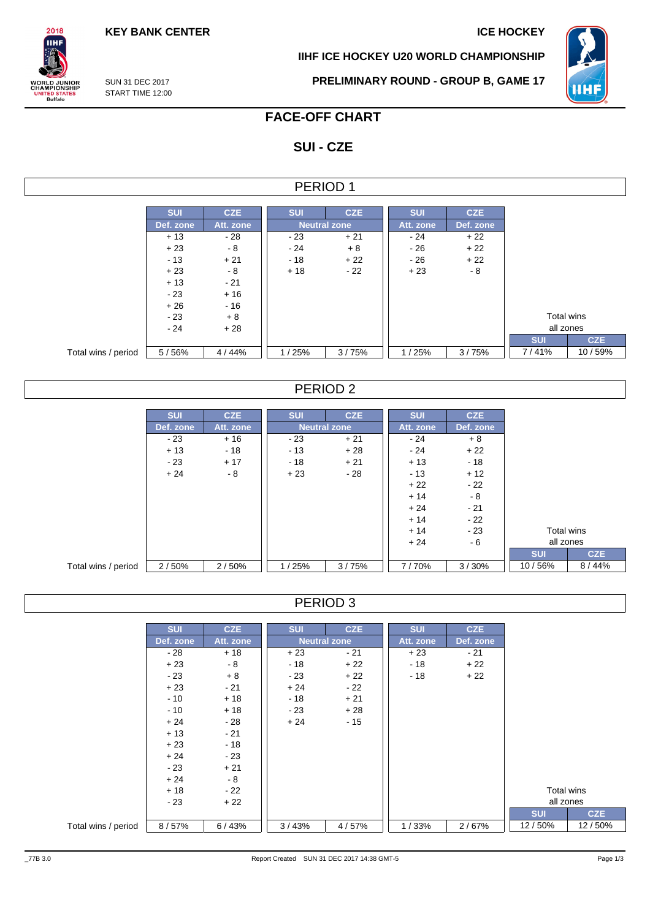**KEY BANK CENTER ICE HOCKEY** 

**IIHF ICE HOCKEY U20 WORLD CHAMPIONSHIP**



SUN 31 DEC 2017 START TIME 12:00

 $2018$ **IIHF** 

**ORLD JUNIOR**<br>HAMPIONSHIP

NITED STATES<br>Buffalo

**PRELIMINARY ROUND - GROUP B, GAME 17**

# **FACE-OFF CHART**

# **SUI - CZE**

| <b>ERIOD</b> |  |
|--------------|--|
|--------------|--|

|                     | <b>SUI</b> | <b>CZE</b> | <b>SUI</b>          | <b>CZE</b> | <b>SUI</b> | <b>CZE</b> |                   |
|---------------------|------------|------------|---------------------|------------|------------|------------|-------------------|
|                     | Def. zone  | Att. zone  | <b>Neutral zone</b> |            | Att. zone  | Def. zone  |                   |
|                     | $+13$      | - 28       | $-23$               | $+21$      | $-24$      | $+22$      |                   |
|                     | $+23$      | - 8        | $-24$               | $+8$       | $-26$      | $+22$      |                   |
|                     | $-13$      | $+21$      | $-18$               | $+22$      | $-26$      | $+22$      |                   |
|                     | $+23$      | $-8$       | $+18$               | $-22$      | $+23$      | $-8$       |                   |
|                     | $+13$      | $-21$      |                     |            |            |            |                   |
|                     | $-23$      | $+16$      |                     |            |            |            |                   |
|                     | $+26$      | - 16       |                     |            |            |            |                   |
|                     | $-23$      | $+8$       |                     |            |            |            | <b>Total wins</b> |
|                     | $-24$      | $+28$      |                     |            |            |            | all zones         |
|                     |            |            |                     |            |            |            | <b>SUI</b>        |
| Total wins / period | 5/56%      | 4/44%      | 1/25%               | 3/75%      | 1/25%      | 3/75%      | 7/41%             |

## PERIOD 2

|                     | <b>SUI</b> | <b>CZE</b> | <b>SUI</b> | CZE                 | <b>SUI</b> | <b>CZE</b> |            |            |  |
|---------------------|------------|------------|------------|---------------------|------------|------------|------------|------------|--|
|                     | Def. zone  | Att. zone  |            | <b>Neutral zone</b> | Att. zone  | Def. zone  |            |            |  |
|                     | $-23$      | $+16$      | $-23$      | $+21$               | $-24$      | $+8$       |            |            |  |
|                     | $+13$      | $-18$      | $-13$      | $+28$               | $-24$      | $+22$      |            |            |  |
|                     | $-23$      | $+17$      | - 18       | $+21$               | $+13$      | $-18$      |            |            |  |
|                     | $+24$      | - 8        | $+23$      | $-28$               | - 13       | $+12$      |            |            |  |
|                     |            |            |            |                     | $+22$      | $-22$      |            |            |  |
|                     |            |            |            |                     | $+14$      | $-8$       |            |            |  |
|                     |            |            |            |                     | $+24$      | $-21$      |            |            |  |
|                     |            |            |            |                     | $+14$      | $-22$      |            |            |  |
|                     |            |            |            |                     | $+14$      | $-23$      |            | Total wins |  |
|                     |            |            |            |                     | $+24$      | $-6$       | all zones  |            |  |
|                     |            |            |            |                     |            |            | <b>SUI</b> | <b>CZE</b> |  |
| Total wins / period | 2/50%      | 2/50%      | 1/25%      | 3/75%               | 7/70%      | 3/30%      | 10/56%     | 8/44%      |  |

## PERIOD 3

|                     | <b>SUI</b>     | <b>CZE</b> | <b>SUI</b> | <b>CZE</b>          | <b>SUI</b> | <b>CZE</b> |            |            |
|---------------------|----------------|------------|------------|---------------------|------------|------------|------------|------------|
|                     | Def. zone      | Att. zone  |            | <b>Neutral zone</b> | Att. zone  | Def. zone  |            |            |
|                     | $+18$<br>$-28$ |            | $+23$      | $-21$               | $+23$      | $-21$      |            |            |
|                     | $+23$          | $-8$       | - 18       | $+22$               | - 18       | $+22$      |            |            |
|                     | - 23           | $+8$       | $-23$      | $+22$               | $-18$      | $+22$      |            |            |
|                     | $+23$          | $-21$      | $+24$      | $-22$               |            |            |            |            |
|                     | $-10$          | $+18$      | $-18$      | $+21$               |            |            |            |            |
|                     | $-10$          | $+18$      | $-23$      | $+28$               |            |            |            |            |
|                     | $+24$          | $-28$      | $+24$      | $-15$               |            |            |            |            |
|                     | $+13$          | $-21$      |            |                     |            |            |            |            |
|                     | $+23$          | $-18$      |            |                     |            |            |            |            |
|                     | $+24$          | $-23$      |            |                     |            |            |            |            |
|                     | $-23$          | $+21$      |            |                     |            |            |            |            |
|                     | $+24$          | $-8$       |            |                     |            |            |            |            |
|                     | $+18$          | $-22$      |            |                     |            |            | Total wins |            |
|                     | $-23$          | $+22$      |            |                     |            |            |            | all zones  |
|                     |                |            |            |                     |            |            | <b>SUI</b> | <b>CZE</b> |
| Total wins / period | 8/57%          | 6/43%      | 3/43%      | 4/57%               | 1/33%      | 2/67%      | 12/50%     | 12/50%     |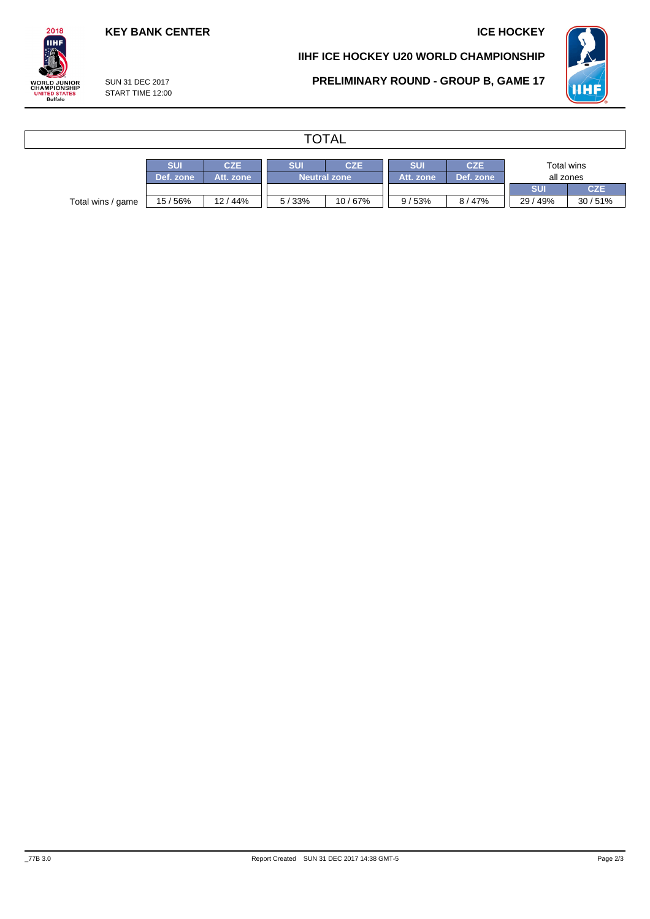## **KEY BANK CENTER ICE HOCKEY**

### **IIHF ICE HOCKEY U20 WORLD CHAMPIONSHIP**



SUN 31 DEC 2017

## **PRELIMINARY ROUND - GROUP B, GAME 17**

| SUN 31 DEC 2017  |
|------------------|
| START TIME 12:00 |
|                  |

 $2018$ **IIHF** 

**WORLD JUNIOR<br>CHAMPIONSHIP<br>UNITED STATES<br>Buffalo** 

# **TOTAL**

|                   | <b>SUI</b> | CZE       | SUI<br>CZE |                     | SUI       | <b>CZE</b> | Total wins |        |  |
|-------------------|------------|-----------|------------|---------------------|-----------|------------|------------|--------|--|
|                   | Def. zone  | Att. zone |            | <b>Neutral zone</b> | Att. zone | Def. zone  | all zones  |        |  |
|                   |            |           |            |                     |           |            | <b>SUI</b> | CZE    |  |
| Total wins / game | 15/56%     | 12 / 44%  | 5/33%      | 10 / 67%            | 9/53%     | 8/47%      | 29/49%     | 30/51% |  |